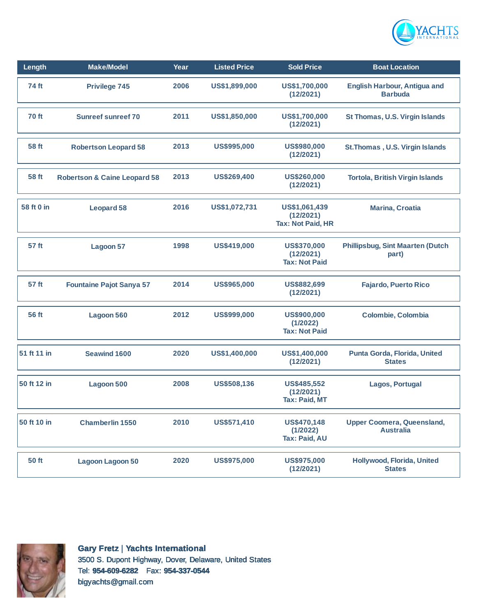

| Length       | <b>Make/Model</b>                       | Year | <b>Listed Price</b> | <b>Sold Price</b>                                       | <b>Boat Location</b>                                  |
|--------------|-----------------------------------------|------|---------------------|---------------------------------------------------------|-------------------------------------------------------|
| 74 ft        | Privilege 745                           | 2006 | US\$1,899,000       | US\$1,700,000<br>(12/2021)                              | <b>English Harbour, Antigua and</b><br><b>Barbuda</b> |
| 70 ft        | <b>Sunreef sunreef 70</b>               | 2011 | US\$1,850,000       | US\$1,700,000<br>(12/2021)                              | St Thomas, U.S. Virgin Islands                        |
| 58 ft        | <b>Robertson Leopard 58</b>             | 2013 | US\$995,000         | US\$980,000<br>(12/2021)                                | St. Thomas, U.S. Virgin Islands                       |
| 58 ft        | <b>Robertson &amp; Caine Leopard 58</b> | 2013 | US\$269,400         | US\$260,000<br>(12/2021)                                | <b>Tortola, British Virgin Islands</b>                |
| 58 ft 0 in   | <b>Leopard 58</b>                       | 2016 | US\$1,072,731       | US\$1,061,439<br>(12/2021)<br><b>Tax: Not Paid, HR</b>  | <b>Marina, Croatia</b>                                |
| 57 ft        | Lagoon 57                               | 1998 | US\$419,000         | <b>US\$370,000</b><br>(12/2021)<br><b>Tax: Not Paid</b> | <b>Phillipsbug, Sint Maarten (Dutch</b><br>part)      |
| 57 ft        | <b>Fountaine Pajot Sanya 57</b>         | 2014 | US\$965,000         | US\$882,699<br>(12/2021)                                | <b>Fajardo, Puerto Rico</b>                           |
| <b>56 ft</b> | Lagoon 560                              | 2012 | US\$999,000         | US\$900,000<br>(1/2022)<br><b>Tax: Not Paid</b>         | Colombie, Colombia                                    |
| 51 ft 11 in  | <b>Seawind 1600</b>                     | 2020 | US\$1,400,000       | US\$1,400,000<br>(12/2021)                              | Punta Gorda, Florida, United<br><b>States</b>         |
| 50 ft 12 in  | Lagoon 500                              | 2008 | US\$508,136         | <b>US\$485,552</b><br>(12/2021)<br><b>Tax: Paid, MT</b> | Lagos, Portugal                                       |
| 50 ft 10 in  | <b>Chamberlin 1550</b>                  | 2010 | US\$571,410         | US\$470,148<br>(1/2022)<br>Tax: Paid, AU                | <b>Upper Coomera, Queensland,</b><br><b>Australia</b> |
| 50 ft        | <b>Lagoon Lagoon 50</b>                 | 2020 | <b>US\$975,000</b>  | <b>US\$975,000</b><br>(12/2021)                         | Hollywood, Florida, United<br><b>States</b>           |



**Gary Fretz** | **Yachts International** 3500 S. Dupont Highway, Dover, Delaware, United States Tel: **954-609-6282** Fax: **954-337-0544** bigyachts@gmail.com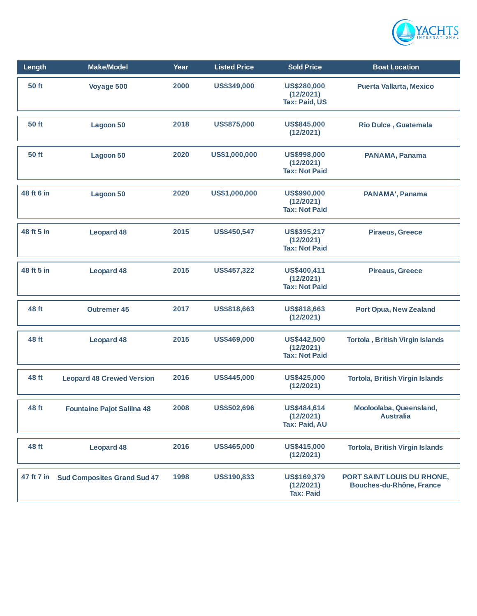

| Length     | <b>Make/Model</b>                  | Year | <b>Listed Price</b> | <b>Sold Price</b>                                       | <b>Boat Location</b>                                   |
|------------|------------------------------------|------|---------------------|---------------------------------------------------------|--------------------------------------------------------|
| 50 ft      | Voyage 500                         | 2000 | US\$349,000         | US\$280,000<br>(12/2021)<br><b>Tax: Paid, US</b>        | <b>Puerta Vallarta, Mexico</b>                         |
| 50 ft      | <b>Lagoon 50</b>                   | 2018 | <b>US\$875,000</b>  | US\$845,000<br>(12/2021)                                | Rio Dulce, Guatemala                                   |
| 50 ft      | <b>Lagoon 50</b>                   | 2020 | US\$1,000,000       | <b>US\$998,000</b><br>(12/2021)<br><b>Tax: Not Paid</b> | PANAMA, Panama                                         |
| 48 ft 6 in | Lagoon 50                          | 2020 | US\$1,000,000       | US\$990,000<br>(12/2021)<br><b>Tax: Not Paid</b>        | PANAMA', Panama                                        |
| 48 ft 5 in | <b>Leopard 48</b>                  | 2015 | <b>US\$450,547</b>  | US\$395,217<br>(12/2021)<br><b>Tax: Not Paid</b>        | <b>Piraeus, Greece</b>                                 |
| 48 ft 5 in | <b>Leopard 48</b>                  | 2015 | US\$457,322         | US\$400,411<br>(12/2021)<br><b>Tax: Not Paid</b>        | <b>Pireaus, Greece</b>                                 |
| 48 ft      | <b>Outremer 45</b>                 | 2017 | US\$818,663         | US\$818,663<br>(12/2021)                                | Port Opua, New Zealand                                 |
| 48 ft      | <b>Leopard 48</b>                  | 2015 | US\$469,000         | <b>US\$442,500</b><br>(12/2021)<br><b>Tax: Not Paid</b> | <b>Tortola, British Virgin Islands</b>                 |
| 48 ft      | <b>Leopard 48 Crewed Version</b>   | 2016 | US\$445,000         | <b>US\$425,000</b><br>(12/2021)                         | <b>Tortola, British Virgin Islands</b>                 |
| 48 ft      | <b>Fountaine Pajot Salilna 48</b>  | 2008 | US\$502,696         | US\$484,614<br>(12/2021)<br><b>Tax: Paid, AU</b>        | Mooloolaba, Queensland,<br><b>Australia</b>            |
| 48 ft      | <b>Leopard 48</b>                  | 2016 | US\$465,000         | US\$415,000<br>(12/2021)                                | <b>Tortola, British Virgin Islands</b>                 |
| 47 ft 7 in | <b>Sud Composites Grand Sud 47</b> | 1998 | US\$190,833         | US\$169,379<br>(12/2021)<br><b>Tax: Paid</b>            | PORT SAINT LOUIS DU RHONE,<br>Bouches-du-Rhône, France |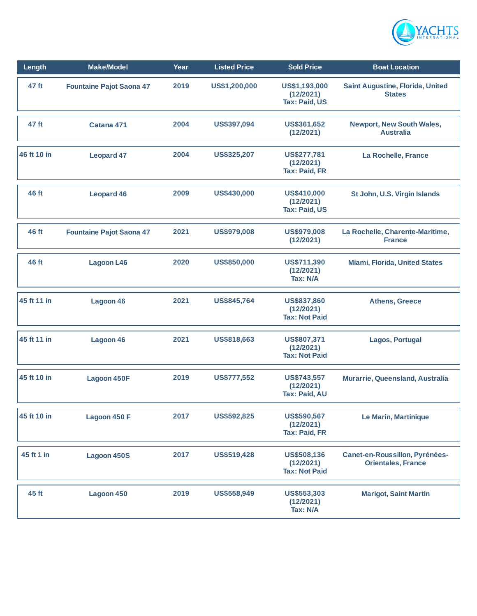

| Length      | <b>Make/Model</b>               | Year | <b>Listed Price</b> | <b>Sold Price</b>                                       | <b>Boat Location</b>                                        |
|-------------|---------------------------------|------|---------------------|---------------------------------------------------------|-------------------------------------------------------------|
| 47 ft       | <b>Fountaine Pajot Saona 47</b> | 2019 | US\$1,200,000       | US\$1,193,000<br>(12/2021)<br><b>Tax: Paid, US</b>      | Saint Augustine, Florida, United<br><b>States</b>           |
| 47 ft       | Catana 471                      | 2004 | US\$397,094         | US\$361,652<br>(12/2021)                                | <b>Newport, New South Wales,</b><br><b>Australia</b>        |
| 46 ft 10 in | <b>Leopard 47</b>               | 2004 | <b>US\$325,207</b>  | US\$277,781<br>(12/2021)<br><b>Tax: Paid, FR</b>        | La Rochelle, France                                         |
| 46 ft       | <b>Leopard 46</b>               | 2009 | US\$430,000         | US\$410,000<br>(12/2021)<br><b>Tax: Paid, US</b>        | St John, U.S. Virgin Islands                                |
| 46 ft       | <b>Fountaine Pajot Saona 47</b> | 2021 | US\$979,008         | <b>US\$979,008</b><br>(12/2021)                         | La Rochelle, Charente-Maritime,<br><b>France</b>            |
| 46 ft       | <b>Lagoon L46</b>               | 2020 | US\$850,000         | US\$711,390<br>(12/2021)<br>Tax: N/A                    | <b>Miami, Florida, United States</b>                        |
| 45 ft 11 in | Lagoon 46                       | 2021 | US\$845,764         | US\$837,860<br>(12/2021)<br><b>Tax: Not Paid</b>        | <b>Athens, Greece</b>                                       |
| 45 ft 11 in | Lagoon 46                       | 2021 | US\$818,663         | US\$807,371<br>(12/2021)<br><b>Tax: Not Paid</b>        | Lagos, Portugal                                             |
| 45 ft 10 in | Lagoon 450F                     | 2019 | <b>US\$777,552</b>  | US\$743,557<br>(12/2021)<br><b>Tax: Paid, AU</b>        | Murarrie, Queensland, Australia                             |
| 45 ft 10 in | Lagoon 450 F                    | 2017 | US\$592,825         | US\$590,567<br>(12/2021)<br><b>Tax: Paid, FR</b>        | Le Marin, Martinique                                        |
| 45 ft 1 in  | <b>Lagoon 450S</b>              | 2017 | US\$519,428         | <b>US\$508,136</b><br>(12/2021)<br><b>Tax: Not Paid</b> | Canet-en-Roussillon, Pyrénées-<br><b>Orientales, France</b> |
| 45 ft       | Lagoon 450                      | 2019 | US\$558,949         | US\$553,303<br>(12/2021)<br>Tax: N/A                    | <b>Marigot, Saint Martin</b>                                |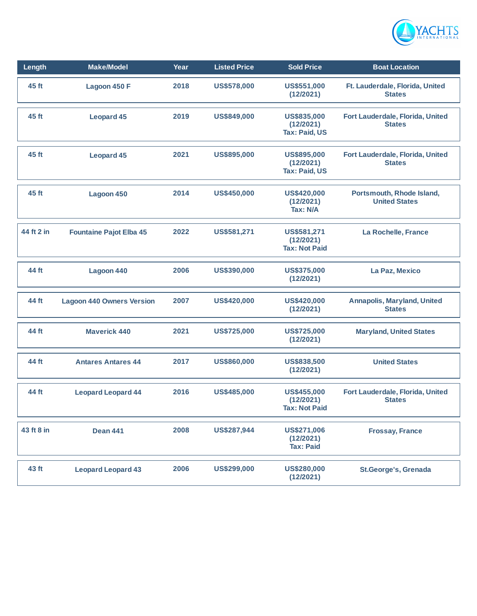

| Length     | <b>Make/Model</b>                | Year | <b>Listed Price</b> | <b>Sold Price</b>                                   | <b>Boat Location</b>                                |
|------------|----------------------------------|------|---------------------|-----------------------------------------------------|-----------------------------------------------------|
| 45 ft      | Lagoon 450 F                     | 2018 | US\$578,000         | US\$551,000<br>(12/2021)                            | Ft. Lauderdale, Florida, United<br><b>States</b>    |
| 45 ft      | <b>Leopard 45</b>                | 2019 | US\$849,000         | US\$835,000<br>(12/2021)<br><b>Tax: Paid, US</b>    | Fort Lauderdale, Florida, United<br><b>States</b>   |
| 45 ft      | <b>Leopard 45</b>                | 2021 | US\$895,000         | US\$895,000<br>(12/2021)<br><b>Tax: Paid, US</b>    | Fort Lauderdale, Florida, United<br><b>States</b>   |
| 45 ft      | Lagoon 450                       | 2014 | US\$450,000         | <b>US\$420,000</b><br>(12/2021)<br><b>Tax: N/A</b>  | Portsmouth, Rhode Island,<br><b>United States</b>   |
| 44 ft 2 in | <b>Fountaine Pajot Elba 45</b>   | 2022 | US\$581,271         | US\$581,271<br>(12/2021)<br><b>Tax: Not Paid</b>    | La Rochelle, France                                 |
| 44 ft      | Lagoon 440                       | 2006 | US\$390,000         | <b>US\$375,000</b><br>(12/2021)                     | La Paz, Mexico                                      |
| 44 ft      | <b>Lagoon 440 Owners Version</b> | 2007 | <b>US\$420,000</b>  | US\$420,000<br>(12/2021)                            | <b>Annapolis, Maryland, United</b><br><b>States</b> |
| 44 ft      | <b>Maverick 440</b>              | 2021 | US\$725,000         | <b>US\$725,000</b><br>(12/2021)                     | <b>Maryland, United States</b>                      |
| 44 ft      | <b>Antares Antares 44</b>        | 2017 | US\$860,000         | <b>US\$838,500</b><br>(12/2021)                     | <b>United States</b>                                |
| 44 ft      | <b>Leopard Leopard 44</b>        | 2016 | US\$485,000         | US\$455,000<br>(12/2021)<br><b>Tax: Not Paid</b>    | Fort Lauderdale, Florida, United<br><b>States</b>   |
| 43 ft 8 in | <b>Dean 441</b>                  | 2008 | US\$287,944         | <b>US\$271,006</b><br>(12/2021)<br><b>Tax: Paid</b> | <b>Frossay, France</b>                              |
| 43 ft      | <b>Leopard Leopard 43</b>        | 2006 | US\$299,000         | <b>US\$280,000</b><br>(12/2021)                     | <b>St.George's, Grenada</b>                         |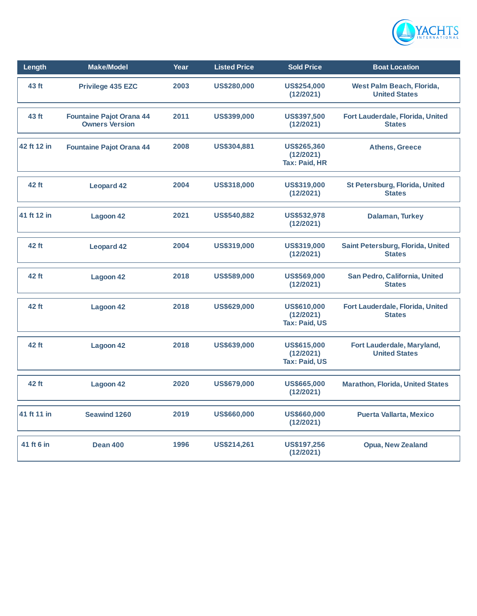

| Length      | <b>Make/Model</b>                                        | Year | <b>Listed Price</b> | <b>Sold Price</b>                                | <b>Boat Location</b>                               |
|-------------|----------------------------------------------------------|------|---------------------|--------------------------------------------------|----------------------------------------------------|
| 43 ft       | <b>Privilege 435 EZC</b>                                 | 2003 | US\$280,000         | US\$254,000<br>(12/2021)                         | West Palm Beach, Florida,<br><b>United States</b>  |
| 43 ft       | <b>Fountaine Pajot Orana 44</b><br><b>Owners Version</b> | 2011 | <b>US\$399,000</b>  | <b>US\$397,500</b><br>(12/2021)                  | Fort Lauderdale, Florida, United<br><b>States</b>  |
| 42 ft 12 in | <b>Fountaine Pajot Orana 44</b>                          | 2008 | US\$304,881         | US\$265,360<br>(12/2021)<br>Tax: Paid, HR        | <b>Athens, Greece</b>                              |
| 42 ft       | <b>Leopard 42</b>                                        | 2004 | US\$318,000         | US\$319,000<br>(12/2021)                         | St Petersburg, Florida, United<br><b>States</b>    |
| 41 ft 12 in | <b>Lagoon 42</b>                                         | 2021 | US\$540,882         | <b>US\$532,978</b><br>(12/2021)                  | Dalaman, Turkey                                    |
| 42 ft       | <b>Leopard 42</b>                                        | 2004 | <b>US\$319,000</b>  | US\$319,000<br>(12/2021)                         | Saint Petersburg, Florida, United<br><b>States</b> |
| 42 ft       | Lagoon 42                                                | 2018 | US\$589,000         | US\$569,000<br>(12/2021)                         | San Pedro, California, United<br><b>States</b>     |
| 42 ft       | <b>Lagoon 42</b>                                         | 2018 | US\$629,000         | US\$610,000<br>(12/2021)<br><b>Tax: Paid, US</b> | Fort Lauderdale, Florida, United<br><b>States</b>  |
| 42 ft       | <b>Lagoon 42</b>                                         | 2018 | US\$639,000         | <b>US\$615,000</b><br>(12/2021)<br>Tax: Paid, US | Fort Lauderdale, Maryland,<br><b>United States</b> |
| 42 ft       | Lagoon 42                                                | 2020 | US\$679,000         | US\$665,000<br>(12/2021)                         | <b>Marathon, Florida, United States</b>            |
| 41 ft 11 in | <b>Seawind 1260</b>                                      | 2019 | US\$660,000         | US\$660,000<br>(12/2021)                         | <b>Puerta Vallarta, Mexico</b>                     |
| 41 ft 6 in  | <b>Dean 400</b>                                          | 1996 | <b>US\$214,261</b>  | US\$197,256<br>(12/2021)                         | <b>Opua, New Zealand</b>                           |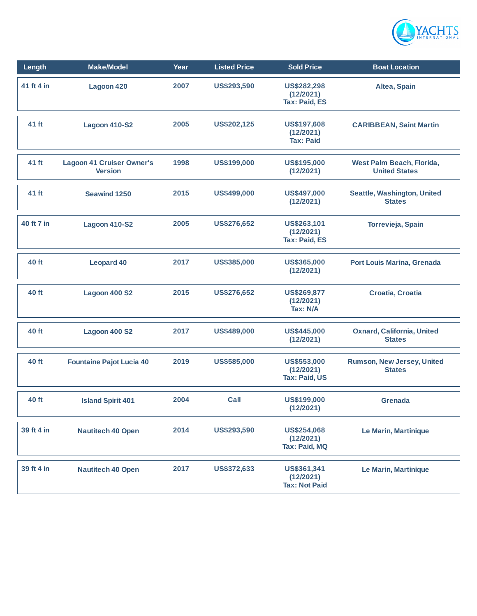

| Length     | <b>Make/Model</b>                                  | Year | <b>Listed Price</b> | <b>Sold Price</b>                                | <b>Boat Location</b>                               |
|------------|----------------------------------------------------|------|---------------------|--------------------------------------------------|----------------------------------------------------|
| 41 ft 4 in | Lagoon 420                                         | 2007 | US\$293,590         | US\$282,298<br>(12/2021)<br><b>Tax: Paid, ES</b> | Altea, Spain                                       |
| 41 ft      | <b>Lagoon 410-S2</b>                               | 2005 | US\$202,125         | US\$197,608<br>(12/2021)<br><b>Tax: Paid</b>     | <b>CARIBBEAN, Saint Martin</b>                     |
| 41 ft      | <b>Lagoon 41 Cruiser Owner's</b><br><b>Version</b> | 1998 | US\$199,000         | <b>US\$195,000</b><br>(12/2021)                  | West Palm Beach, Florida,<br><b>United States</b>  |
| 41 ft      | <b>Seawind 1250</b>                                | 2015 | US\$499,000         | US\$497,000<br>(12/2021)                         | Seattle, Washington, United<br><b>States</b>       |
| 40 ft 7 in | <b>Lagoon 410-S2</b>                               | 2005 | <b>US\$276,652</b>  | US\$263,101<br>(12/2021)<br><b>Tax: Paid, ES</b> | Torrevieja, Spain                                  |
| 40 ft      | <b>Leopard 40</b>                                  | 2017 | US\$385,000         | US\$365,000<br>(12/2021)                         | <b>Port Louis Marina, Grenada</b>                  |
| 40 ft      | <b>Lagoon 400 S2</b>                               | 2015 | <b>US\$276,652</b>  | <b>US\$269,877</b><br>(12/2021)<br>Tax: N/A      | Croatia, Croatia                                   |
| 40 ft      | Lagoon 400 S2                                      | 2017 | US\$489,000         | US\$445,000<br>(12/2021)                         | <b>Oxnard, California, United</b><br><b>States</b> |
| 40 ft      | <b>Fountaine Pajot Lucia 40</b>                    | 2019 | US\$585,000         | US\$553,000<br>(12/2021)<br>Tax: Paid, US        | Rumson, New Jersey, United<br><b>States</b>        |
| 40 ft      | <b>Island Spirit 401</b>                           | 2004 | Call                | US\$199,000<br>(12/2021)                         | <b>Grenada</b>                                     |
| 39 ft 4 in | <b>Nautitech 40 Open</b>                           | 2014 | US\$293,590         | <b>US\$254,068</b><br>(12/2021)<br>Tax: Paid, MQ | Le Marin, Martinique                               |
| 39 ft 4 in | <b>Nautitech 40 Open</b>                           | 2017 | US\$372,633         | US\$361,341<br>(12/2021)<br><b>Tax: Not Paid</b> | Le Marin, Martinique                               |